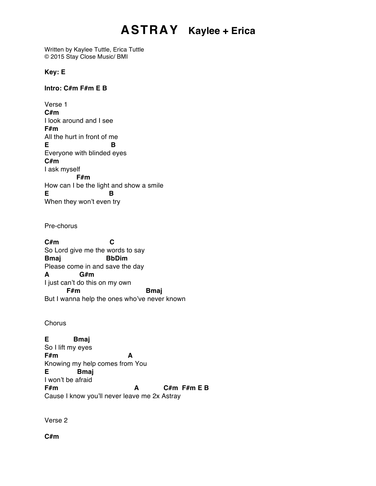## **ASTRAY Kaylee + Erica**

Written by Kaylee Tuttle, Erica Tuttle © 2015 Stay Close Music/ BMI

**Key: E**

**Intro: C#m F#m E B**

Verse 1 **C#m**  I look around and I see **F#m** All the hurt in front of me **E B** Everyone with blinded eyes **C#m** I ask myself **F#m** How can I be the light and show a smile **E B** When they won't even try

Pre-chorus

**C#m C** So Lord give me the words to say **Bmaj BbDim** Please come in and save the day **A G#m** I just can't do this on my own **F#m Bmaj** But I wanna help the ones who've never known

**Chorus** 

**E Bmaj** So I lift my eyes **F#m A** Knowing my help comes from You **E Bmaj** I won't be afraid **F#m A C#m F#m E B** Cause I know you'll never leave me 2x Astray

Verse 2

**C#m**